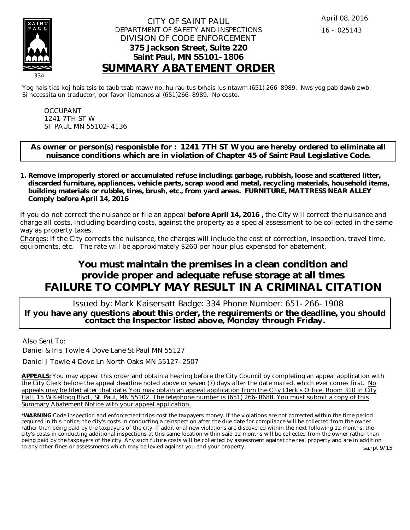

#### CITY OF SAINT PAUL DEPARTMENT OF SAFETY AND INSPECTIONS DIVISION OF CODE ENFORCEMENT **375 Jackson Street, Suite 220 Saint Paul, MN 55101-1806 SUMMARY ABATEMENT ORDER**

Yog hais tias koj hais tsis to taub tsab ntawv no, hu rau tus txhais lus ntawm (651) 266-8989. Nws yog pab dawb zwb. Si necessita un traductor, por favor llamanos al (651)266-8989. No costo.

OCCUPANT 1241 7TH ST W ST PAUL MN 55102-4136

**As owner or person(s) responisble for : 1241 7TH ST W you are hereby ordered to eliminate all nuisance conditions which are in violation of Chapter 45 of Saint Paul Legislative Code.**

**Remove improperly stored or accumulated refuse including: garbage, rubbish, loose and scattered litter, 1. discarded furniture, appliances, vehicle parts, scrap wood and metal, recycling materials, household items, building materials or rubble, tires, brush, etc., from yard areas. FURNITURE, MATTRESS NEAR ALLEY Comply before April 14, 2016**

If you do not correct the nuisance or file an appeal **before April 14, 2016 ,** the City will correct the nuisance and charge all costs, including boarding costs, against the property as a special assessment to be collected in the same way as property taxes.

Charges: If the City corrects the nuisance, the charges will include the cost of correction, inspection, travel time, equipments, etc. The rate will be approximately \$260 per hour plus expensed for abatement.

# **You must maintain the premises in a clean condition and provide proper and adequate refuse storage at all times FAILURE TO COMPLY MAY RESULT IN A CRIMINAL CITATION**

 Issued by: Mark Kaisersatt Badge: 334 Phone Number: 651-266-1908 **If you have any questions about this order, the requirements or the deadline, you should contact the Inspector listed above, Monday through Friday.**

Also Sent To:

Daniel & Iris Towle 4 Dove Lane St Paul MN 55127

Daniel J Towle 4 Dove Ln North Oaks MN 55127-2507

**APPEALS:** You may appeal this order and obtain a hearing before the City Council by completing an appeal application with the City Clerk before the appeal deadline noted above or seven (7) days after the date mailed, which ever comes first. No appeals may be filed after that date. You may obtain an appeal application from the City Clerk's Office, Room 310 in City Hall, 15 W Kellogg Blvd., St. Paul, MN 55102. The telephone number is (651) 266-8688. You must submit a copy of this Summary Abatement Notice with your appeal application.

**\*WARNING** Code inspection and enforcement trips cost the taxpayers money. If the violations are not corrected within the time period required in this notice, the city's costs in conducting a reinspection after the due date for compliance will be collected from the owner rather than being paid by the taxpayers of the city. If additional new violations are discovered within the next following 12 months, the city's costs in conducting additional inspections at this same location within said 12 months will be collected from the owner rather than being paid by the taxpayers of the city. Any such future costs will be collected by assessment against the real property and are in addition to any other fines or assessments which may be levied against you and your property. sa.rpt 9/15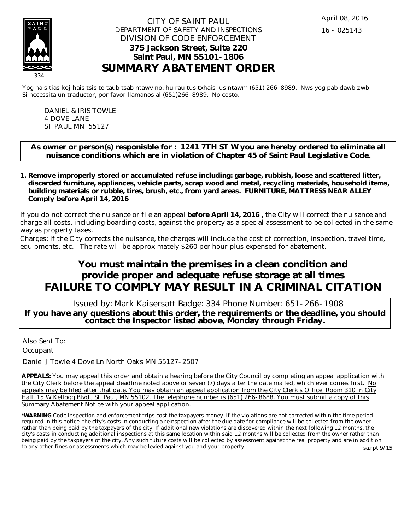

#### CITY OF SAINT PAUL DEPARTMENT OF SAFETY AND INSPECTIONS DIVISION OF CODE ENFORCEMENT **375 Jackson Street, Suite 220 Saint Paul, MN 55101-1806 SUMMARY ABATEMENT ORDER**

Yog hais tias koj hais tsis to taub tsab ntawv no, hu rau tus txhais lus ntawm (651) 266-8989. Nws yog pab dawb zwb. Si necessita un traductor, por favor llamanos al (651)266-8989. No costo.

DANIEL & IRIS TOWLE 4 DOVE LANE ST PAUL MN 55127

**As owner or person(s) responisble for : 1241 7TH ST W you are hereby ordered to eliminate all nuisance conditions which are in violation of Chapter 45 of Saint Paul Legislative Code.**

**Remove improperly stored or accumulated refuse including: garbage, rubbish, loose and scattered litter, 1. discarded furniture, appliances, vehicle parts, scrap wood and metal, recycling materials, household items, building materials or rubble, tires, brush, etc., from yard areas. FURNITURE, MATTRESS NEAR ALLEY Comply before April 14, 2016**

If you do not correct the nuisance or file an appeal **before April 14, 2016 ,** the City will correct the nuisance and charge all costs, including boarding costs, against the property as a special assessment to be collected in the same way as property taxes.

Charges: If the City corrects the nuisance, the charges will include the cost of correction, inspection, travel time, equipments, etc. The rate will be approximately \$260 per hour plus expensed for abatement.

# **You must maintain the premises in a clean condition and provide proper and adequate refuse storage at all times FAILURE TO COMPLY MAY RESULT IN A CRIMINAL CITATION**

 Issued by: Mark Kaisersatt Badge: 334 Phone Number: 651-266-1908 **If you have any questions about this order, the requirements or the deadline, you should contact the Inspector listed above, Monday through Friday.**

Also Sent To: **Occupant** 

Daniel J Towle 4 Dove Ln North Oaks MN 55127-2507

**APPEALS:** You may appeal this order and obtain a hearing before the City Council by completing an appeal application with the City Clerk before the appeal deadline noted above or seven (7) days after the date mailed, which ever comes first. No appeals may be filed after that date. You may obtain an appeal application from the City Clerk's Office, Room 310 in City Hall, 15 W Kellogg Blvd., St. Paul, MN 55102. The telephone number is (651) 266-8688. You must submit a copy of this Summary Abatement Notice with your appeal application.

**\*WARNING** Code inspection and enforcement trips cost the taxpayers money. If the violations are not corrected within the time period required in this notice, the city's costs in conducting a reinspection after the due date for compliance will be collected from the owner rather than being paid by the taxpayers of the city. If additional new violations are discovered within the next following 12 months, the city's costs in conducting additional inspections at this same location within said 12 months will be collected from the owner rather than being paid by the taxpayers of the city. Any such future costs will be collected by assessment against the real property and are in addition to any other fines or assessments which may be levied against you and your property. sa.rpt 9/15